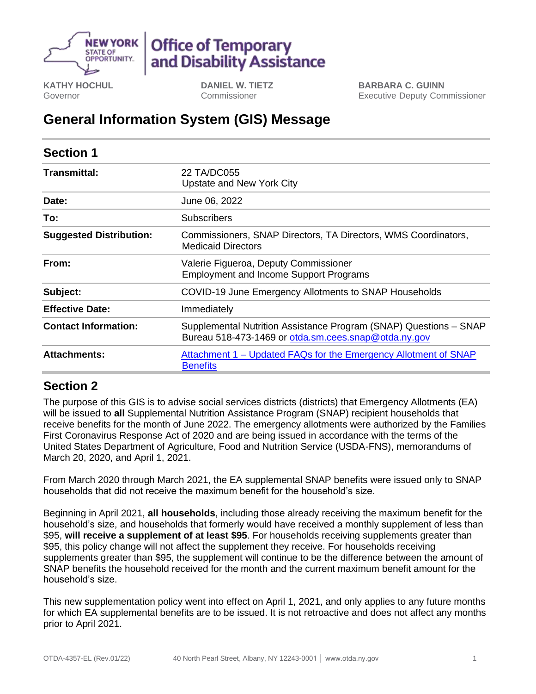

# **Office of Temporary** and Disability Assistance

**KATHY HOCHUL** Governor

**DANIEL W. TIETZ** Commissioner

**BARBARA C. GUINN** Executive Deputy Commissioner

## **General Information System (GIS) Message**

| <b>Section 1</b>               |                                                                                                                           |
|--------------------------------|---------------------------------------------------------------------------------------------------------------------------|
| <b>Transmittal:</b>            | 22 TA/DC055<br>Upstate and New York City                                                                                  |
| Date:                          | June 06, 2022                                                                                                             |
| To:                            | <b>Subscribers</b>                                                                                                        |
| <b>Suggested Distribution:</b> | Commissioners, SNAP Directors, TA Directors, WMS Coordinators,<br><b>Medicaid Directors</b>                               |
| From:                          | Valerie Figueroa, Deputy Commissioner<br><b>Employment and Income Support Programs</b>                                    |
| Subject:                       | COVID-19 June Emergency Allotments to SNAP Households                                                                     |
| <b>Effective Date:</b>         | Immediately                                                                                                               |
| <b>Contact Information:</b>    | Supplemental Nutrition Assistance Program (SNAP) Questions - SNAP<br>Bureau 518-473-1469 or otda.sm.cees.snap@otda.ny.gov |
| <b>Attachments:</b>            | Attachment 1 – Updated FAQs for the Emergency Allotment of SNAP<br><b>Benefits</b>                                        |

### **Section 2**

The purpose of this GIS is to advise social services districts (districts) that Emergency Allotments (EA) will be issued to **all** Supplemental Nutrition Assistance Program (SNAP) recipient households that receive benefits for the month of June 2022. The emergency allotments were authorized by the Families First Coronavirus Response Act of 2020 and are being issued in accordance with the terms of the United States Department of Agriculture, Food and Nutrition Service (USDA-FNS), memorandums of March 20, 2020, and April 1, 2021.

From March 2020 through March 2021, the EA supplemental SNAP benefits were issued only to SNAP households that did not receive the maximum benefit for the household's size.

Beginning in April 2021, **all households**, including those already receiving the maximum benefit for the household's size, and households that formerly would have received a monthly supplement of less than \$95, **will receive a supplement of at least \$95**. For households receiving supplements greater than \$95, this policy change will not affect the supplement they receive. For households receiving supplements greater than \$95, the supplement will continue to be the difference between the amount of SNAP benefits the household received for the month and the current maximum benefit amount for the household's size.

This new supplementation policy went into effect on April 1, 2021, and only applies to any future months for which EA supplemental benefits are to be issued. It is not retroactive and does not affect any months prior to April 2021.